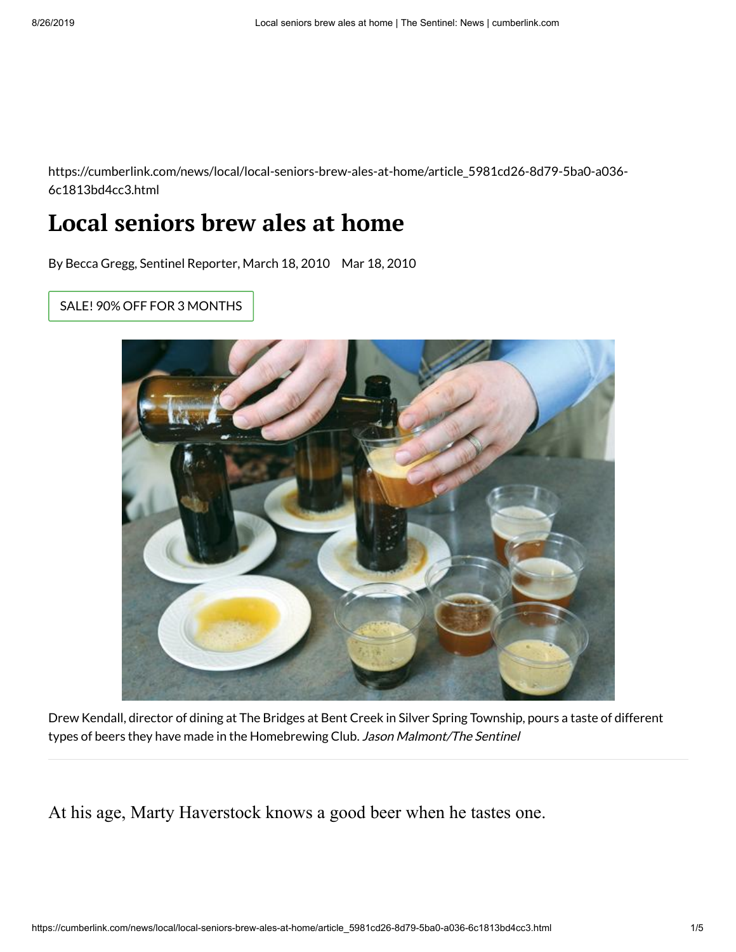https://cumberlink.com/news/local/local-seniors-brew-ales-at-home/article\_5981cd26-8d79-5ba0-a036- 6c1813bd4cc3.html

## **Local seniors brew ales at home**

By Becca Gregg, Sentinel [Reporter,](mailto:rgregg@cumberlink.com) March 18, 2010 Mar 18, 2010

SALE! 90% OFF FOR 3 [MONTHS](https://subscriberservices.lee.net/subscriberservices/Content/PaymentPage.aspx?Domain=cumberlink.com&SubscriberLevel=DOP&Return=https%3A%2F%2Fcumberlink.com%2Fnews%2Flocal%2Flocal-seniors-brew-ales-at-home%2Farticle_5981cd26-8d79-5ba0-a036-6c1813bd4cc3.html#tracking-source=green-subscribe-button&ir=true)



Drew Kendall, director of dining at The Bridges at Bent Creek in Silver Spring Township, pours a taste of different types of beers they have made in the Homebrewing Club. Jason Malmont/The Sentinel

At his age, Marty Haverstock knows a good beer when he tastes one.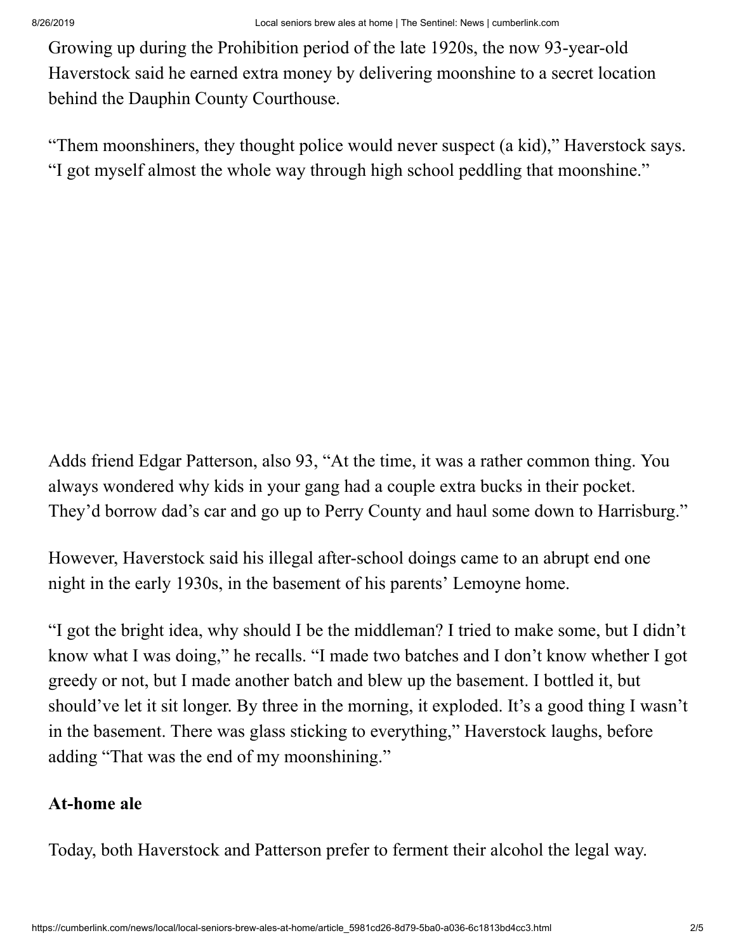Growing up during the Prohibition period of the late 1920s, the now 93-year-old Haverstock said he earned extra money by delivering moonshine to a secret location behind the Dauphin County Courthouse.

"Them moonshiners, they thought police would never suspect (a kid)," Haverstock says. "I got myself almost the whole way through high school peddling that moonshine."

Adds friend Edgar Patterson, also 93, "At the time, it was a rather common thing. You always wondered why kids in your gang had a couple extra bucks in their pocket. They'd borrow dad's car and go up to Perry County and haul some down to Harrisburg."

However, Haverstock said his illegal after-school doings came to an abrupt end one night in the early 1930s, in the basement of his parents' Lemoyne home.

"I got the bright idea, why should I be the middleman? I tried to make some, but I didn't know what I was doing," he recalls. "I made two batches and I don't know whether I got greedy or not, but I made another batch and blew up the basement. I bottled it, but should've let it sit longer. By three in the morning, it exploded. It's a good thing I wasn't in the basement. There was glass sticking to everything," Haverstock laughs, before adding "That was the end of my moonshining."

## **At-home ale**

Today, both Haverstock and Patterson prefer to ferment their alcohol the legal way.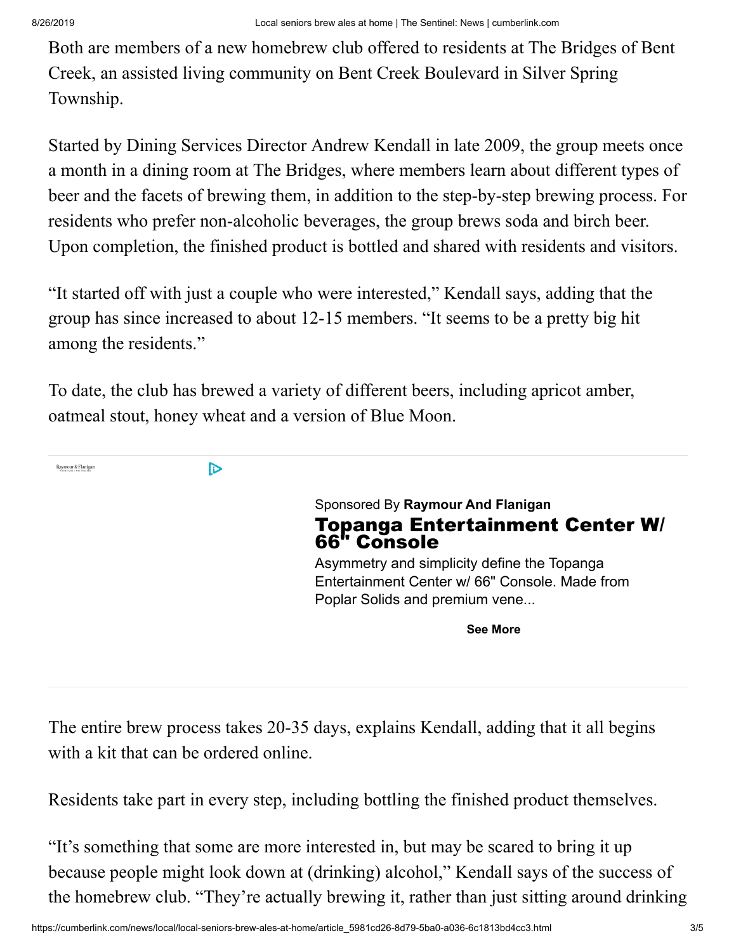Both are members of a new homebrew club offered to residents at The Bridges of Bent Creek, an assisted living community on Bent Creek Boulevard in Silver Spring Township.

Started by Dining Services Director Andrew Kendall in late 2009, the group meets once a month in a dining room at The Bridges, where members learn about different types of beer and the facets of brewing them, in addition to the step-by-step brewing process. For residents who prefer non-alcoholic beverages, the group brews soda and birch beer. Upon completion, the finished product is bottled and shared with residents and visitors.

"It started off with just a couple who were interested," Kendall says, adding that the group has since increased to about 12-15 members. "It seems to be a pretty big hit among the residents."

To date, the club has brewed a variety of different beers, including apricot amber, oatmeal stout, honey wheat and a version of Blue Moon.



The entire brew process takes 20-35 days, explains Kendall, adding that it all begins with a kit that can be ordered online.

Residents take part in every step, including bottling the finished product themselves.

"It's something that some are more interested in, but may be scared to bring it up because people might look down at (drinking) alcohol," Kendall says of the success of the homebrew club. "They're actually brewing it, rather than just sitting around drinking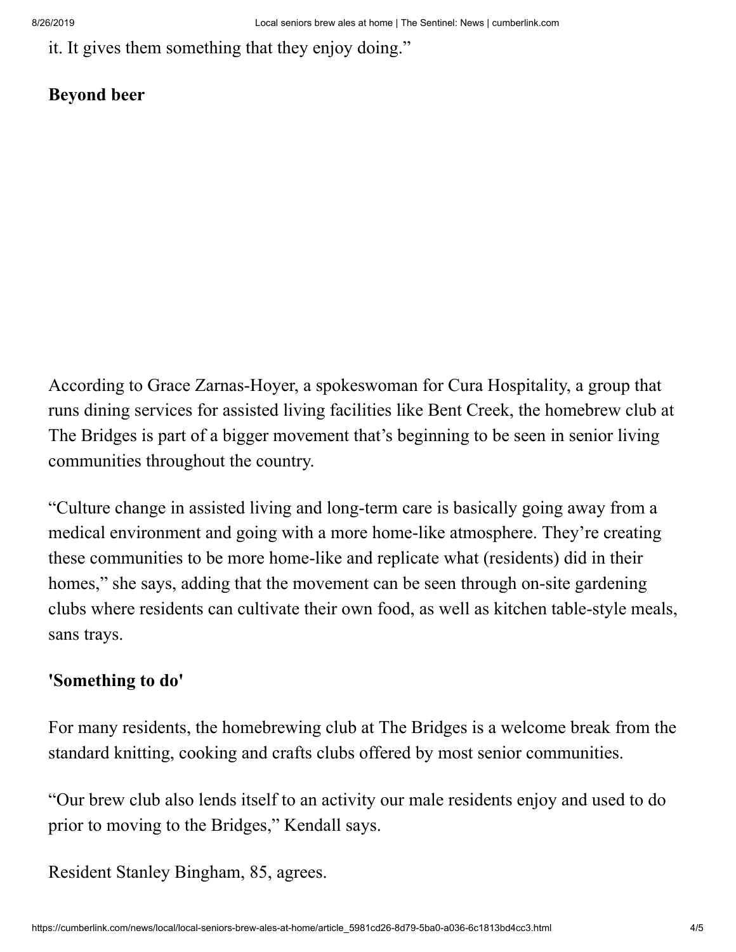it. It gives them something that they enjoy doing."

## **Beyond beer**

According to Grace Zarnas-Hoyer, a spokeswoman for Cura Hospitality, a group that runs dining services for assisted living facilities like Bent Creek, the homebrew club at The Bridges is part of a bigger movement that's beginning to be seen in senior living communities throughout the country.

"Culture change in assisted living and long-term care is basically going away from a medical environment and going with a more home-like atmosphere. They're creating these communities to be more home-like and replicate what (residents) did in their homes," she says, adding that the movement can be seen through on-site gardening clubs where residents can cultivate their own food, as well as kitchen table-style meals, sans trays.

## **'Something to do'**

For many residents, the homebrewing club at The Bridges is a welcome break from the standard knitting, cooking and crafts clubs offered by most senior communities.

"Our brew club also lends itself to an activity our male residents enjoy and used to do prior to moving to the Bridges," Kendall says.

Resident Stanley Bingham, 85, agrees.